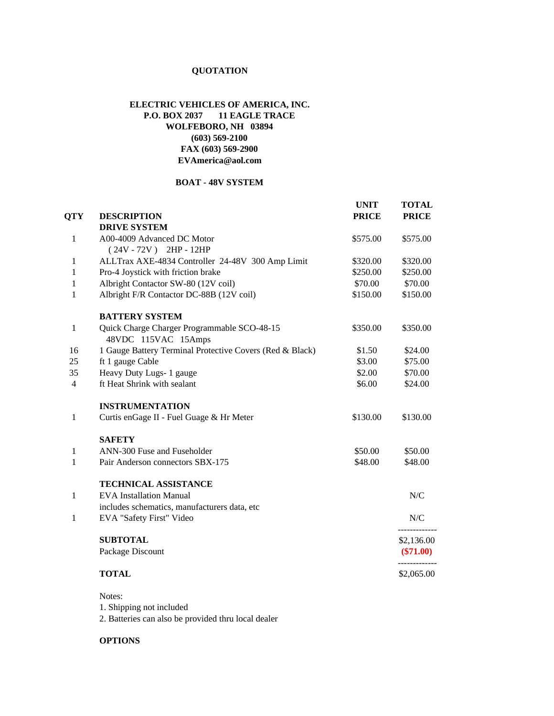## **QUOTATION**

## **ELECTRIC VEHICLES OF AMERICA, INC. P.O. BOX 2037 11 EAGLE TRACE WOLFEBORO, NH 03894 (603) 569-2100 FAX (603) 569-2900 EVAmerica@aol.com**

## **BOAT - 48V SYSTEM**

|                |                                                          | <b>UNIT</b>  | <b>TOTAL</b>                          |
|----------------|----------------------------------------------------------|--------------|---------------------------------------|
| <b>QTY</b>     | <b>DESCRIPTION</b>                                       | <b>PRICE</b> | <b>PRICE</b>                          |
|                | <b>DRIVE SYSTEM</b>                                      |              |                                       |
| 1              | A00-4009 Advanced DC Motor                               | \$575.00     | \$575.00                              |
|                | $(24V - 72V)$ 2HP - 12HP                                 |              |                                       |
| 1              | ALLTrax AXE-4834 Controller 24-48V 300 Amp Limit         | \$320.00     | \$320.00                              |
| 1              | Pro-4 Joystick with friction brake                       | \$250.00     | \$250.00                              |
| 1              | Albright Contactor SW-80 (12V coil)                      | \$70.00      | \$70.00                               |
| 1              | Albright F/R Contactor DC-88B (12V coil)                 | \$150.00     | \$150.00                              |
|                | <b>BATTERY SYSTEM</b>                                    |              |                                       |
| 1              | Quick Charge Charger Programmable SCO-48-15              | \$350.00     | \$350.00                              |
|                | 48VDC 115VAC 15Amps                                      |              |                                       |
| 16             | 1 Gauge Battery Terminal Protective Covers (Red & Black) | \$1.50       | \$24.00                               |
| 25             | ft 1 gauge Cable                                         | \$3.00       | \$75.00                               |
| 35             | Heavy Duty Lugs- 1 gauge                                 | \$2.00       | \$70.00                               |
| $\overline{4}$ | ft Heat Shrink with sealant                              | \$6.00       | \$24.00                               |
|                | <b>INSTRUMENTATION</b>                                   |              |                                       |
| $\mathbf{1}$   | Curtis enGage II - Fuel Guage & Hr Meter                 | \$130.00     | \$130.00                              |
|                | <b>SAFETY</b>                                            |              |                                       |
| 1              | ANN-300 Fuse and Fuseholder                              | \$50.00      | \$50.00                               |
| $\mathbf{1}$   | Pair Anderson connectors SBX-175                         | \$48.00      | \$48.00                               |
|                | TECHNICAL ASSISTANCE                                     |              |                                       |
| 1              | <b>EVA</b> Installation Manual                           |              | N/C                                   |
|                | includes schematics, manufacturers data, etc             |              |                                       |
| 1              | EVA "Safety First" Video                                 |              | ${\rm N\hspace{-1pt}N\hspace{-1pt}C}$ |
|                | <b>SUBTOTAL</b>                                          |              | \$2,136.00                            |
|                | Package Discount                                         |              | $(\$71.00)$                           |
|                | <b>TOTAL</b>                                             |              | \$2,065.00                            |
|                |                                                          |              |                                       |

Notes: 1. Shipping not included

2. Batteries can also be provided thru local dealer

## **OPTIONS**